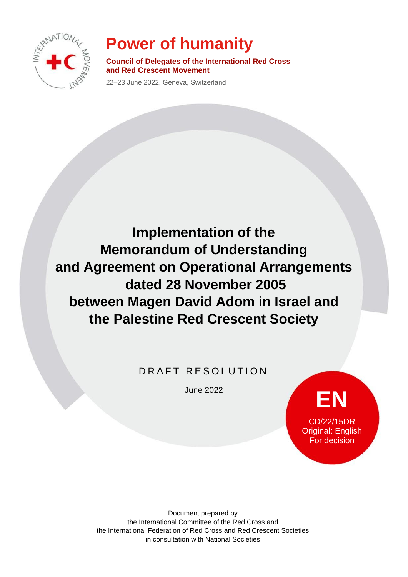

## **Power of humanity**

**Council of Delegates of the International Red Cross and Red Crescent Movement**

22–23 June 2022, Geneva, Switzerland

## **Implementation of the Memorandum of Understanding and Agreement on Operational Arrangements dated 28 November 2005 between Magen David Adom in Israel and the Palestine Red Crescent Society**

## DRAFT RESOLUTION

June 2022

**EN** CD/22/15DR Original: English For decision

Document prepared by the International Committee of the Red Cross and the International Federation of Red Cross and Red Crescent Societies in consultation with National Societies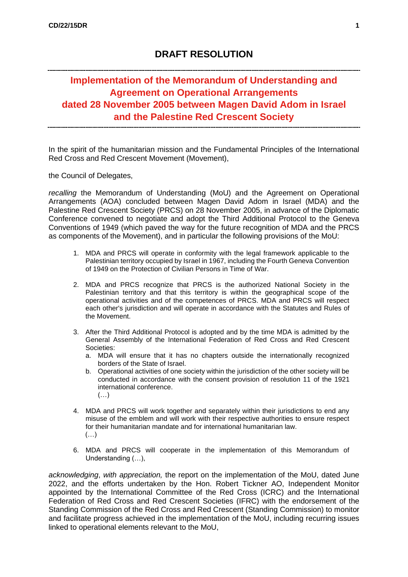## **Implementation of the Memorandum of Understanding and Agreement on Operational Arrangements dated 28 November 2005 between Magen David Adom in Israel and the Palestine Red Crescent Society**

In the spirit of the humanitarian mission and the Fundamental Principles of the International Red Cross and Red Crescent Movement (Movement),

the Council of Delegates,

*recalling* the Memorandum of Understanding (MoU) and the Agreement on Operational Arrangements (AOA) concluded between Magen David Adom in Israel (MDA) and the Palestine Red Crescent Society (PRCS) on 28 November 2005, in advance of the Diplomatic Conference convened to negotiate and adopt the Third Additional Protocol to the Geneva Conventions of 1949 (which paved the way for the future recognition of MDA and the PRCS as components of the Movement), and in particular the following provisions of the MoU:

- 1. MDA and PRCS will operate in conformity with the legal framework applicable to the Palestinian territory occupied by Israel in 1967, including the Fourth Geneva Convention of 1949 on the Protection of Civilian Persons in Time of War.
- 2. MDA and PRCS recognize that PRCS is the authorized National Society in the Palestinian territory and that this territory is within the geographical scope of the operational activities and of the competences of PRCS. MDA and PRCS will respect each other's jurisdiction and will operate in accordance with the Statutes and Rules of the Movement.
- 3. After the Third Additional Protocol is adopted and by the time MDA is admitted by the General Assembly of the International Federation of Red Cross and Red Crescent Societies:
	- a. MDA will ensure that it has no chapters outside the internationally recognized borders of the State of Israel.
	- b. Operational activities of one society within the jurisdiction of the other society will be conducted in accordance with the consent provision of resolution 11 of the 1921 international conference.  $(\ldots)$
- 4. MDA and PRCS will work together and separately within their jurisdictions to end any misuse of the emblem and will work with their respective authorities to ensure respect for their humanitarian mandate and for international humanitarian law. (…)
- 6. MDA and PRCS will cooperate in the implementation of this Memorandum of Understanding (…),

*acknowledging*, *with appreciation,* the report on the implementation of the MoU, dated June 2022, and the efforts undertaken by the Hon. Robert Tickner AO, Independent Monitor appointed by the International Committee of the Red Cross (ICRC) and the International Federation of Red Cross and Red Crescent Societies (IFRC) with the endorsement of the Standing Commission of the Red Cross and Red Crescent (Standing Commission) to monitor and facilitate progress achieved in the implementation of the MoU, including recurring issues linked to operational elements relevant to the MoU,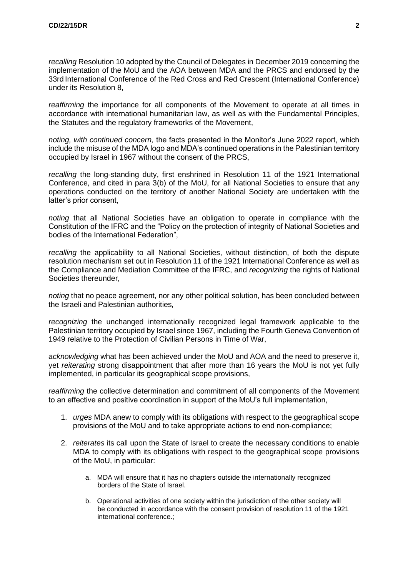*recalling* Resolution 10 adopted by the Council of Delegates in December 2019 concerning the implementation of the MoU and the AOA between MDA and the PRCS and endorsed by the 33rd International Conference of the Red Cross and Red Crescent (International Conference) under its Resolution 8,

*reaffirming* the importance for all components of the Movement to operate at all times in accordance with international humanitarian law, as well as with the Fundamental Principles, the Statutes and the regulatory frameworks of the Movement,

*noting, with continued concern,* the facts presented in the Monitor's June 2022 report, which include the misuse of the MDA logo and MDA's continued operations in the Palestinian territory occupied by Israel in 1967 without the consent of the PRCS,

*recalling* the long-standing duty, first enshrined in Resolution 11 of the 1921 International Conference, and cited in para 3(b) of the MoU, for all National Societies to ensure that any operations conducted on the territory of another National Society are undertaken with the latter's prior consent,

*noting* that all National Societies have an obligation to operate in compliance with the Constitution of the IFRC and the "Policy on the protection of integrity of National Societies and bodies of the International Federation",

*recalling* the applicability to all National Societies, without distinction, of both the dispute resolution mechanism set out in Resolution 11 of the 1921 International Conference as well as the Compliance and Mediation Committee of the IFRC, and *recognizing* the rights of National Societies thereunder,

*noting* that no peace agreement, nor any other political solution, has been concluded between the Israeli and Palestinian authorities*,*

*recognizing* the unchanged internationally recognized legal framework applicable to the Palestinian territory occupied by Israel since 1967, including the Fourth Geneva Convention of 1949 relative to the Protection of Civilian Persons in Time of War,

*acknowledging* what has been achieved under the MoU and AOA and the need to preserve it, yet *reiterating* strong disappointment that after more than 16 years the MoU is not yet fully implemented, in particular its geographical scope provisions,

*reaffirming* the collective determination and commitment of all components of the Movement to an effective and positive coordination in support of the MoU's full implementation,

- 1. *urges* MDA anew to comply with its obligations with respect to the geographical scope provisions of the MoU and to take appropriate actions to end non-compliance;
- 2. *reiterates* its call upon the State of Israel to create the necessary conditions to enable MDA to comply with its obligations with respect to the geographical scope provisions of the MoU, in particular:
	- a. MDA will ensure that it has no chapters outside the internationally recognized borders of the State of Israel.
	- b. Operational activities of one society within the jurisdiction of the other society will be conducted in accordance with the consent provision of resolution 11 of the 1921 international conference.;